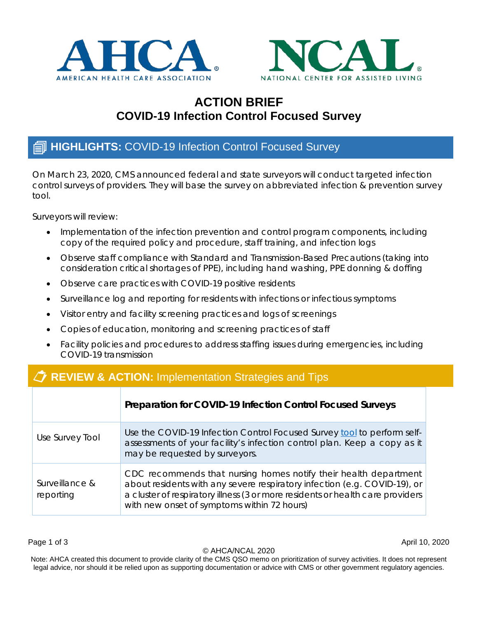



# **ACTION BRIEF COVID-19 Infection Control Focused Survey**

## **HIGHLIGHTS:** COVID-19 Infection Control Focused Survey

On March 23, 2020, CMS announced federal and state surveyors will conduct targeted infection control surveys of providers. They will base the survey on abbreviated infection & prevention survey tool.

Surveyors will review:

- Implementation of the infection prevention and control program components, including copy of the required policy and procedure, staff training, and infection logs
- Observe staff compliance with Standard and Transmission-Based Precautions (taking into consideration critical shortages of PPE), including hand washing, PPE donning & doffing
- Observe care practices with COVID-19 positive residents
- Surveillance log and reporting for residents with infections or infectious symptoms
- Visitor entry and facility screening practices and logs of screenings
- Copies of education, monitoring and screening practices of staff
- Facility policies and procedures to address staffing issues during emergencies, including COVID-19 transmission

## **REVIEW & ACTION:** Implementation Strategies and Tips

|                             | Preparation for COVID-19 Infection Control Focused Surveys                                                                                                                                                                                                                     |
|-----------------------------|--------------------------------------------------------------------------------------------------------------------------------------------------------------------------------------------------------------------------------------------------------------------------------|
| Use Survey Tool             | Use the COVID-19 Infection Control Focused Survey tool to perform self-<br>assessments of your facility's infection control plan. Keep a copy as it<br>may be requested by surveyors.                                                                                          |
| Surveillance &<br>reporting | CDC recommends that nursing homes notify their health department<br>about residents with any severe respiratory infection (e.g. COVID-19), or<br>a cluster of respiratory illness (3 or more residents or health care providers<br>with new onset of symptoms within 72 hours) |

© AHCA/NCAL 2020

Page 1 of 3 April 10, 2020

Note: AHCA created this document to provide clarity of the CMS QSO memo on prioritization of survey activities. It does not represent legal advice, nor should it be relied upon as supporting documentation or advice with CMS or other government regulatory agencies.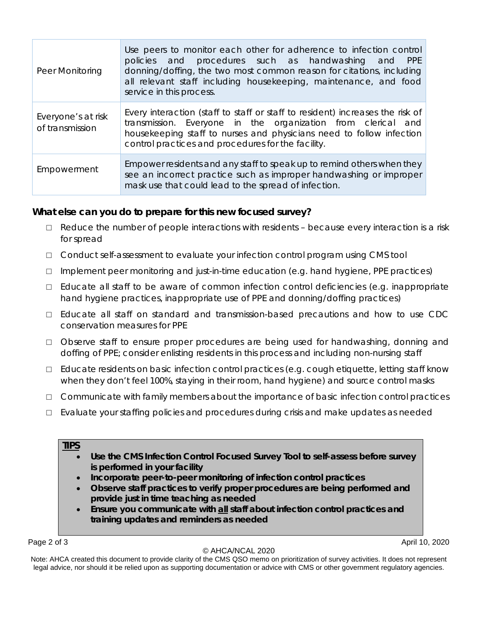| <b>Peer Monitoring</b>                | Use peers to monitor each other for adherence to infection control<br>policies and procedures such as handwashing and<br><b>PPE</b><br>donning/doffing, the two most common reason for citations, including<br>all relevant staff including housekeeping, maintenance, and food<br>service in this process. |
|---------------------------------------|-------------------------------------------------------------------------------------------------------------------------------------------------------------------------------------------------------------------------------------------------------------------------------------------------------------|
| Everyone's at risk<br>of transmission | Every interaction (staff to staff or staff to resident) increases the risk of<br>transmission. Everyone in the organization from clerical and<br>housekeeping staff to nurses and physicians need to follow infection<br>control practices and procedures for the facility.                                 |
| Empowerment                           | Empower residents and any staff to speak up to remind others when they<br>see an incorrect practice such as improper handwashing or improper<br>mask use that could lead to the spread of infection.                                                                                                        |

## **What else can you do to prepare for this new focused survey?**

- □ Reduce the number of people interactions with residents because every interaction is a risk for spread
- □ Conduct self-assessment to evaluate your infection control program using CMS tool
- □ Implement peer monitoring and just-in-time education (e.g. hand hygiene, PPE practices)
- □ Educate all staff to be aware of common infection control deficiencies (e.g. inappropriate hand hygiene practices, inappropriate use of PPE and donning/doffing practices)
- □ Educate all staff on standard and transmission-based precautions and how to use CDC conservation measures for PPE
- □ Observe staff to ensure proper procedures are being used for handwashing, donning and doffing of PPE; consider enlisting residents in this process and including non-nursing staff
- □ Educate residents on basic infection control practices (e.g. cough etiquette, letting staff know when they don't feel 100%, staying in their room, hand hygiene) and source control masks
- □ Communicate with family members about the importance of basic infection control practices
- □ Evaluate your staffing policies and procedures during crisis and make updates as needed

### **TIPS**

- **Use the CMS Infection Control Focused Survey Tool to self-assess before survey is performed in your facility**
- **Incorporate peer-to-peer monitoring of infection control practices**
- **Observe staff practices to verify proper procedures are being performed and provide just in time teaching as needed**
- **Ensure you communicate with all staff about infection control practices and training updates and reminders as needed**

#### © AHCA/NCAL 2020

Page 2 of 3 April 10, 2020

Note: AHCA created this document to provide clarity of the CMS QSO memo on prioritization of survey activities. It does not represent legal advice, nor should it be relied upon as supporting documentation or advice with CMS or other government regulatory agencies.